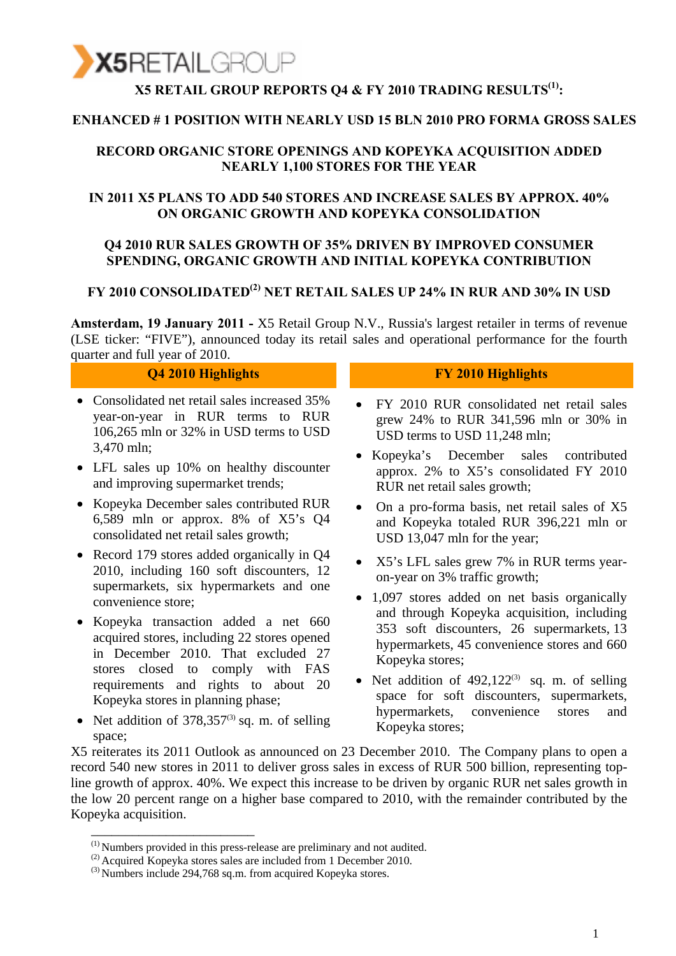

# **X5 RETAIL GROUP REPORTS Q4 & FY 2010 TRADING RESULTS<sup>(1)</sup>:**

#### **ENHANCED # 1 POSITION WITH NEARLY USD 15 BLN 2010 PRO FORMA GROSS SALES**

#### **RECORD ORGANIC STORE OPENINGS AND KOPEYKA ACQUISITION ADDED NEARLY 1,100 STORES FOR THE YEAR**

#### **IN 2011 X5 PLANS TO ADD 540 STORES AND INCREASE SALES BY APPROX. 40% ON ORGANIC GROWTH AND KOPEYKA CONSOLIDATION**

#### **Q4 2010 RUR SALES GROWTH OF 35% DRIVEN BY IMPROVED CONSUMER SPENDING, ORGANIC GROWTH AND INITIAL KOPEYKA CONTRIBUTION**

### **FY 2010 CONSOLIDATED(2) NET RETAIL SALES UP 24% IN RUR AND 30% IN USD**

**Amsterdam, 19 January 2011 -** X5 Retail Group N.V., Russia's largest retailer in terms of revenue (LSE ticker: "FIVE"), announced today its retail sales and operational performance for the fourth quarter and full year of 2010.

- Consolidated net retail sales increased 35% year-on-year in RUR terms to RUR 106,265 mln or 32% in USD terms to USD 3,470 mln;
- LFL sales up 10% on healthy discounter and improving supermarket trends;
- Kopeyka December sales contributed RUR 6,589 mln or approx. 8% of X5's Q4 consolidated net retail sales growth;
- Record 179 stores added organically in O4 2010, including 160 soft discounters, 12 supermarkets, six hypermarkets and one convenience store;
- Kopeyka transaction added a net 660 acquired stores, including 22 stores opened in December 2010. That excluded 27 stores closed to comply with FAS requirements and rights to about 20 Kopeyka stores in planning phase;
- Net addition of  $378,357^{(3)}$  sq. m. of selling space;

\_\_\_\_\_\_\_\_\_\_\_\_\_\_\_\_\_\_\_\_\_\_\_\_

#### **Q4 2010 Highlights FY 2010 Highlights**

- FY 2010 RUR consolidated net retail sales grew 24% to RUR 341,596 mln or 30% in USD terms to USD 11,248 mln;
- Kopeyka's December sales contributed approx. 2% to X5's consolidated FY 2010 RUR net retail sales growth;
- On a pro-forma basis, net retail sales of X5 and Kopeyka totaled RUR 396,221 mln or USD 13,047 mln for the year;
- X5's LFL sales grew 7% in RUR terms yearon-year on 3% traffic growth;
- 1,097 stores added on net basis organically and through Kopeyka acquisition, including 353 soft discounters, 26 supermarkets, 13 hypermarkets, 45 convenience stores and 660 Kopeyka stores;
- Net addition of  $492,122^{(3)}$  sq. m. of selling space for soft discounters, supermarkets, hypermarkets, convenience stores and Kopeyka stores;

X5 reiterates its 2011 Outlook as announced on 23 December 2010. The Company plans to open a record 540 new stores in 2011 to deliver gross sales in excess of RUR 500 billion, representing topline growth of approx. 40%. We expect this increase to be driven by organic RUR net sales growth in the low 20 percent range on a higher base compared to 2010, with the remainder contributed by the Kopeyka acquisition.

<sup>(1)</sup> Numbers provided in this press-release are preliminary and not audited.

<sup>&</sup>lt;sup>(2)</sup> Acquired Kopeyka stores sales are included from 1 December 2010.

<sup>(3)</sup> Numbers include 294,768 sq.m. from acquired Kopeyka stores.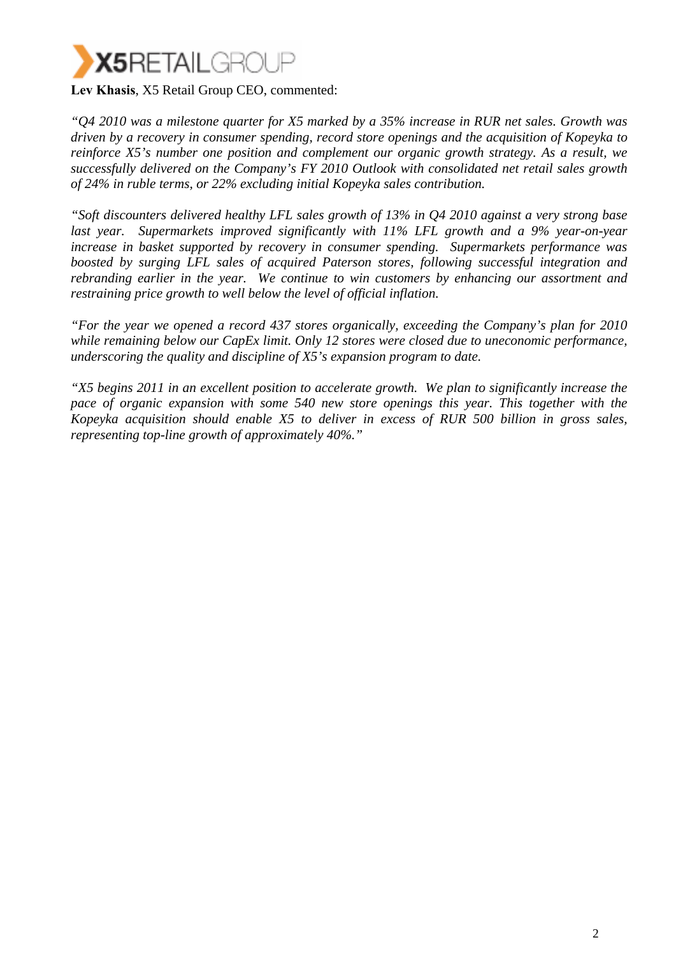

*"Q4 2010 was a milestone quarter for X5 marked by a 35% increase in RUR net sales. Growth was driven by a recovery in consumer spending, record store openings and the acquisition of Kopeyka to reinforce X5's number one position and complement our organic growth strategy. As a result, we successfully delivered on the Company's FY 2010 Outlook with consolidated net retail sales growth of 24% in ruble terms, or 22% excluding initial Kopeyka sales contribution.* 

*"Soft discounters delivered healthy LFL sales growth of 13% in Q4 2010 against a very strong base last year. Supermarkets improved significantly with 11% LFL growth and a 9% year-on-year increase in basket supported by recovery in consumer spending. Supermarkets performance was boosted by surging LFL sales of acquired Paterson stores, following successful integration and rebranding earlier in the year. We continue to win customers by enhancing our assortment and restraining price growth to well below the level of official inflation.* 

*"For the year we opened a record 437 stores organically, exceeding the Company's plan for 2010 while remaining below our CapEx limit. Only 12 stores were closed due to uneconomic performance, underscoring the quality and discipline of X5's expansion program to date.* 

*"X5 begins 2011 in an excellent position to accelerate growth. We plan to significantly increase the pace of organic expansion with some 540 new store openings this year. This together with the Kopeyka acquisition should enable X5 to deliver in excess of RUR 500 billion in gross sales, representing top-line growth of approximately 40%."*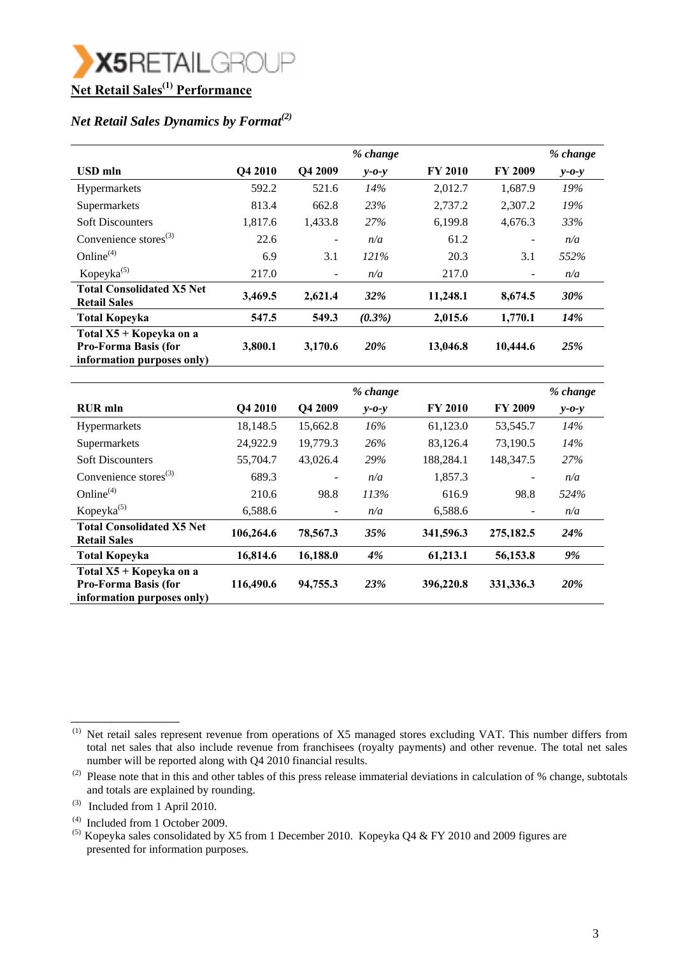

#### *Net Retail Sales Dynamics by Format(2)*

|                                                                                      |         |         | % change    |                |                          | % change    |
|--------------------------------------------------------------------------------------|---------|---------|-------------|----------------|--------------------------|-------------|
| <b>USD</b> mln                                                                       | Q4 2010 | Q4 2009 | $v$ -0- $v$ | <b>FY 2010</b> | <b>FY 2009</b>           | $v$ -0- $v$ |
| Hypermarkets                                                                         | 592.2   | 521.6   | 14%         | 2,012.7        | 1,687.9                  | 19%         |
| Supermarkets                                                                         | 813.4   | 662.8   | 23%         | 2,737.2        | 2,307.2                  | 19%         |
| <b>Soft Discounters</b>                                                              | 1,817.6 | 1,433.8 | 27%         | 6,199.8        | 4,676.3                  | 33%         |
| Convenience stores $^{(3)}$                                                          | 22.6    | -       | n/a         | 61.2           | $\qquad \qquad -$        | n/a         |
| Online $(4)$                                                                         | 6.9     | 3.1     | 121%        | 20.3           | 3.1                      | 552%        |
| Kopeyka $(5)$                                                                        | 217.0   | -       | n/a         | 217.0          | $\overline{\phantom{a}}$ | n/a         |
| <b>Total Consolidated X5 Net</b><br><b>Retail Sales</b>                              | 3,469.5 | 2,621.4 | <b>32%</b>  | 11,248.1       | 8,674.5                  | 30%         |
| <b>Total Kopeyka</b>                                                                 | 547.5   | 549.3   | $(0.3\%)$   | 2,015.6        | 1,770.1                  | <b>14%</b>  |
| Total X5 + Kopeyka on a<br><b>Pro-Forma Basis (for</b><br>information purposes only) | 3,800.1 | 3,170.6 | 20%         | 13,046.8       | 10,444.6                 | 25%         |

|                                                                                      |           |                          | % change    |                |                          | % change    |
|--------------------------------------------------------------------------------------|-----------|--------------------------|-------------|----------------|--------------------------|-------------|
| <b>RUR</b> mln                                                                       | Q4 2010   | Q4 2009                  | $v$ -0- $v$ | <b>FY 2010</b> | <b>FY 2009</b>           | $y - 0 - y$ |
| <b>Hypermarkets</b>                                                                  | 18,148.5  | 15,662.8                 | 16%         | 61,123.0       | 53,545.7                 | 14%         |
| Supermarkets                                                                         | 24,922.9  | 19,779.3                 | 26%         | 83,126.4       | 73,190.5                 | 14%         |
| <b>Soft Discounters</b>                                                              | 55,704.7  | 43,026.4                 | 29%         | 188,284.1      | 148,347.5                | 27%         |
| Convenience stores $^{(3)}$                                                          | 689.3     | $\overline{\phantom{a}}$ | n/a         | 1,857.3        | $\overline{\phantom{a}}$ | n/a         |
| Online $(4)$                                                                         | 210.6     | 98.8                     | 113%        | 616.9          | 98.8                     | 524%        |
| Kopeyka <sup>(5)</sup>                                                               | 6,588.6   | $\overline{\phantom{a}}$ | n/a         | 6,588.6        | $\overline{\phantom{a}}$ | n/a         |
| <b>Total Consolidated X5 Net</b><br><b>Retail Sales</b>                              | 106,264.6 | 78,567.3                 | 35%         | 341,596.3      | 275,182.5                | 24%         |
| <b>Total Kopeyka</b>                                                                 | 16,814.6  | 16,188.0                 | 4%          | 61,213.1       | 56,153.8                 | 9%          |
| Total X5 + Kopeyka on a<br><b>Pro-Forma Basis (for</b><br>information purposes only) | 116,490.6 | 94,755.3                 | 23%         | 396,220.8      | 331,336.3                | 20%         |

\_\_\_\_\_\_\_\_\_\_\_\_\_\_\_\_

 <sup>(1)</sup> Net retail sales represent revenue from operations of X5 managed stores excluding VAT. This number differs from total net sales that also include revenue from franchisees (royalty payments) and other revenue. The total net sales number will be reported along with Q4 2010 financial results.

<sup>(2)</sup> Please note that in this and other tables of this press release immaterial deviations in calculation of  $%$  change, subtotals and totals are explained by rounding.

 <sup>(3)</sup> Included from 1 April 2010.

 <sup>(4)</sup> Included from 1 October 2009.

<sup>&</sup>lt;sup>(5)</sup> Kopeyka sales consolidated by X5 from 1 December 2010. Kopeyka Q4 & FY 2010 and 2009 figures are presented for information purposes.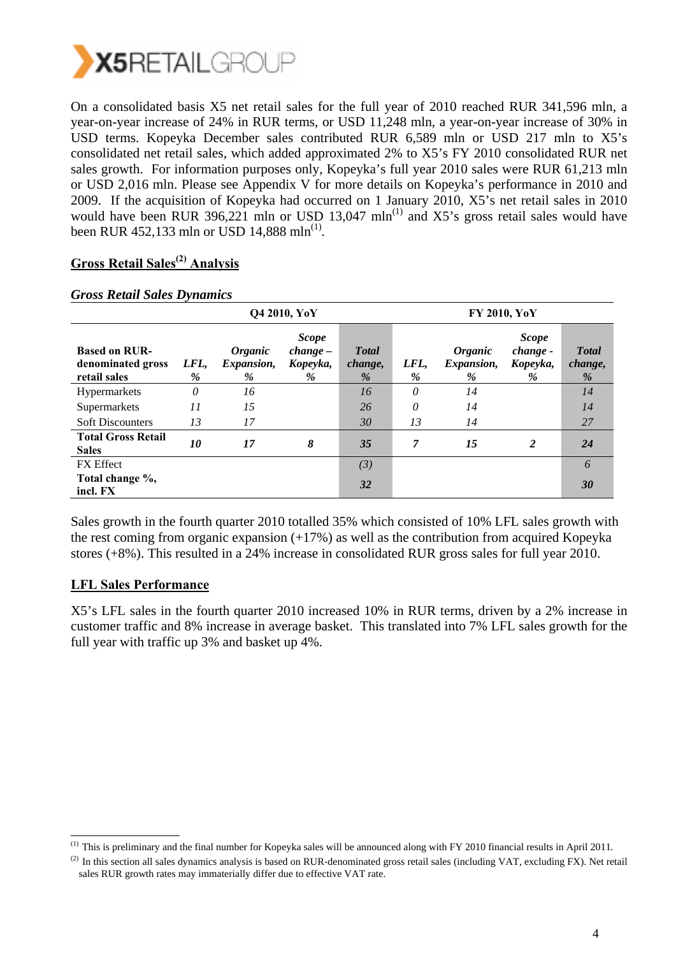

On a consolidated basis X5 net retail sales for the full year of 2010 reached RUR 341,596 mln, a year-on-year increase of 24% in RUR terms, or USD 11,248 mln, a year-on-year increase of 30% in USD terms. Kopeyka December sales contributed RUR 6,589 mln or USD 217 mln to X5's consolidated net retail sales, which added approximated 2% to X5's FY 2010 consolidated RUR net sales growth. For information purposes only, Kopeyka's full year 2010 sales were RUR 61,213 mln or USD 2,016 mln. Please see Appendix V for more details on Kopeyka's performance in 2010 and 2009. If the acquisition of Kopeyka had occurred on 1 January 2010, X5's net retail sales in 2010 would have been RUR 396,221 mln or USD 13,047 mln<sup>(1)</sup> and  $X5$ 's gross retail sales would have been RUR 452,133 mln or USD 14,888 mln<sup>(1)</sup>.

#### **Gross Retail Sales(2) Analysis**

|                                                           |           |                                             | Q4 2010, YoY                                |                                  | <b>FY 2010, YoY</b> |                                                 |                                              |                                  |
|-----------------------------------------------------------|-----------|---------------------------------------------|---------------------------------------------|----------------------------------|---------------------|-------------------------------------------------|----------------------------------------------|----------------------------------|
| <b>Based on RUR-</b><br>denominated gross<br>retail sales | LFL,<br>% | <i><b>Organic</b></i><br>Expansion,<br>$\%$ | <b>Scope</b><br>$change -$<br>Kopeyka,<br>% | <b>T</b> otal<br>change,<br>$\%$ | LFL,<br>%           | <i><b>Organic</b></i><br><i>Expansion,</i><br>% | <b>Scope</b><br>change -<br>Kopeyka,<br>$\%$ | <b>T</b> otal<br>change,<br>$\%$ |
| <b>Hypermarkets</b>                                       | 0         | 16                                          |                                             | 16                               | 0                   | 14                                              |                                              | 14                               |
| Supermarkets                                              | 11        | 15                                          |                                             | 26                               | 0                   | 14                                              |                                              | 14                               |
| <b>Soft Discounters</b>                                   | 13        | 17                                          |                                             | 30                               | 13                  | 14                                              |                                              | 27                               |
| <b>Total Gross Retail</b><br><b>Sales</b>                 | 10        | 17                                          | 8                                           | 35                               | 7                   | 15                                              | 2                                            | 24                               |
| <b>FX</b> Effect                                          |           |                                             |                                             | (3)                              |                     |                                                 |                                              | 6                                |
| Total change %,<br>incl. FX                               |           |                                             |                                             | 32                               |                     |                                                 |                                              | 30                               |

#### *Gross Retail Sales Dynamics*

Sales growth in the fourth quarter 2010 totalled 35% which consisted of 10% LFL sales growth with the rest coming from organic expansion (+17%) as well as the contribution from acquired Kopeyka stores (+8%). This resulted in a 24% increase in consolidated RUR gross sales for full year 2010.

#### **LFL Sales Performance**

\_\_\_\_\_\_\_\_\_\_\_\_\_\_\_\_

X5's LFL sales in the fourth quarter 2010 increased 10% in RUR terms, driven by a 2% increase in customer traffic and 8% increase in average basket. This translated into 7% LFL sales growth for the full year with traffic up 3% and basket up 4%.

<sup>(1)</sup> This is preliminary and the final number for Kopeyka sales will be announced along with FY 2010 financial results in April 2011.

<sup>&</sup>lt;sup>(2)</sup> In this section all sales dynamics analysis is based on RUR-denominated gross retail sales (including VAT, excluding FX). Net retail sales RUR growth rates may immaterially differ due to effective VAT rate.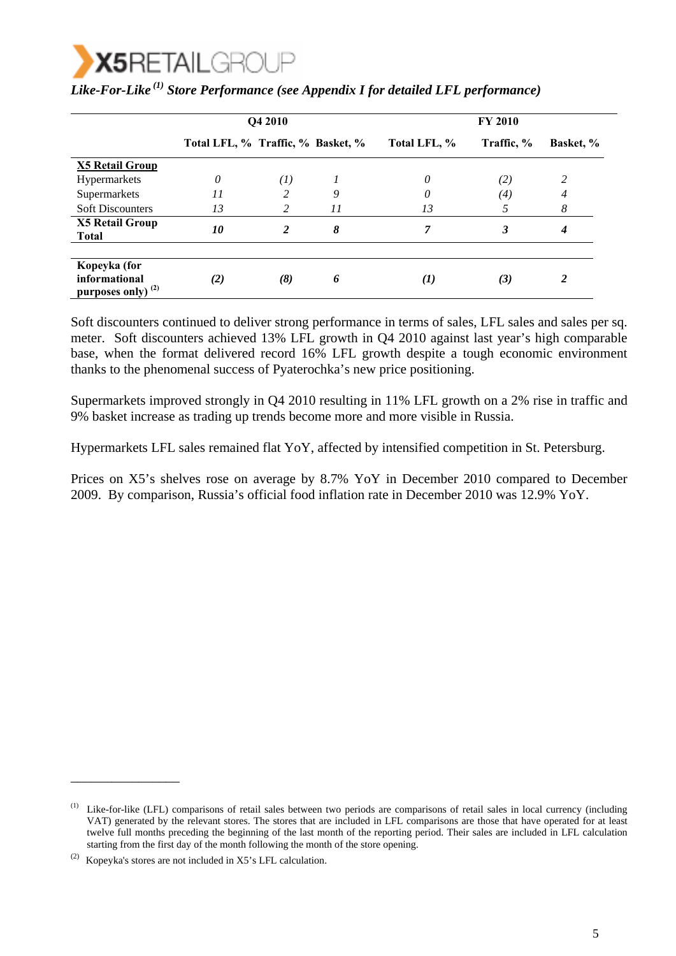

|                                                                |                                   | Q4 2010 |    | <b>FY 2010</b> |            |           |  |
|----------------------------------------------------------------|-----------------------------------|---------|----|----------------|------------|-----------|--|
|                                                                | Total LFL, % Traffic, % Basket, % |         |    | Total LFL, %   | Traffic, % | Basket, % |  |
| <b>X5 Retail Group</b>                                         |                                   |         |    |                |            |           |  |
| Hypermarkets                                                   | 0                                 | (1)     |    | 0              | (2)        | 2         |  |
| Supermarkets                                                   | 11                                |         | 9  | 0              | (4)        | 4         |  |
| <b>Soft Discounters</b>                                        | 13                                | 2       | 11 | 13             |            | 8         |  |
| <b>X5 Retail Group</b><br><b>Total</b>                         | 10                                | 2       | 8  |                | 3          | 4         |  |
|                                                                |                                   |         |    |                |            |           |  |
| Kopeyka (for<br>informational<br>purposes only) <sup>(2)</sup> | (2)                               | (8)     | 6  | $\bf(1)$       | (3)        | 2         |  |

|  |  |  | Like-For-Like <sup>(1)</sup> Store Performance (see Appendix I for detailed LFL performance) |
|--|--|--|----------------------------------------------------------------------------------------------|
|--|--|--|----------------------------------------------------------------------------------------------|

Soft discounters continued to deliver strong performance in terms of sales, LFL sales and sales per sq. meter. Soft discounters achieved 13% LFL growth in Q4 2010 against last year's high comparable base, when the format delivered record 16% LFL growth despite a tough economic environment thanks to the phenomenal success of Pyaterochka's new price positioning.

Supermarkets improved strongly in Q4 2010 resulting in 11% LFL growth on a 2% rise in traffic and 9% basket increase as trading up trends become more and more visible in Russia.

Hypermarkets LFL sales remained flat YoY, affected by intensified competition in St. Petersburg.

Prices on X5's shelves rose on average by 8.7% YoY in December 2010 compared to December 2009. By comparison, Russia's official food inflation rate in December 2010 was 12.9% YoY.

\_\_\_\_\_\_\_\_\_\_\_\_\_\_\_\_

<sup>(1)</sup> Like-for-like (LFL) comparisons of retail sales between two periods are comparisons of retail sales in local currency (including VAT) generated by the relevant stores. The stores that are included in LFL comparisons are those that have operated for at least twelve full months preceding the beginning of the last month of the reporting period. Their sales are included in LFL calculation starting from the first day of the month following the month of the store opening.

<sup>(2)</sup> Kopeyka's stores are not included in  $X5$ 's LFL calculation.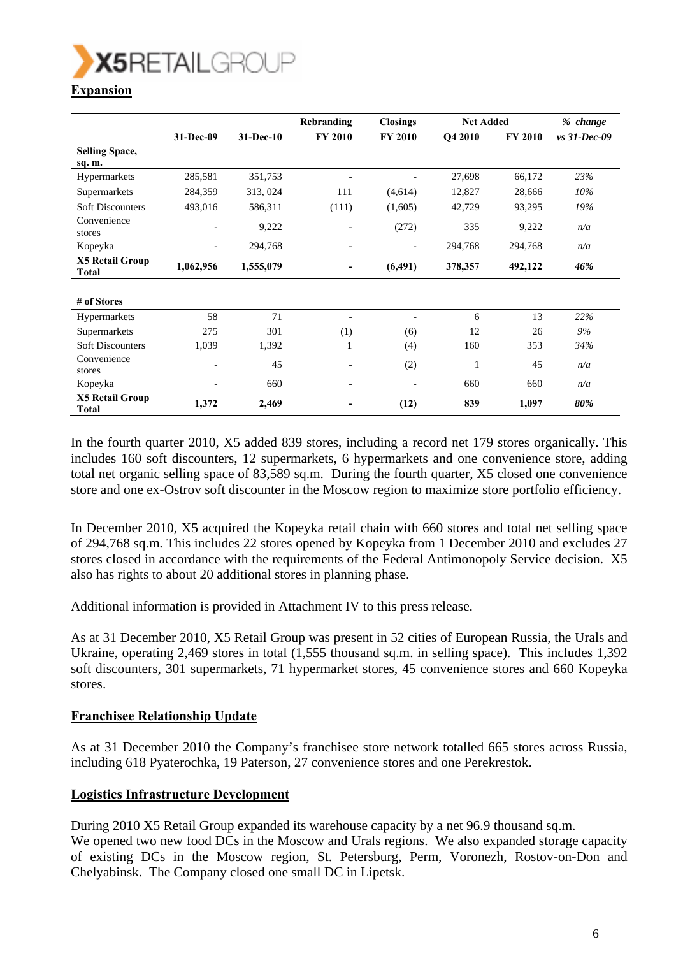

|                                        |                              |           | Rebranding     | <b>Closings</b>          | <b>Net Added</b> |                | % change       |
|----------------------------------------|------------------------------|-----------|----------------|--------------------------|------------------|----------------|----------------|
|                                        | 31-Dec-09                    | 31-Dec-10 | <b>FY 2010</b> | <b>FY 2010</b>           | Q4 2010          | <b>FY 2010</b> | $vs$ 31-Dec-09 |
| <b>Selling Space,</b>                  |                              |           |                |                          |                  |                |                |
| sq. m.                                 |                              |           |                |                          |                  |                |                |
| Hypermarkets                           | 285,581                      | 351,753   |                |                          | 27,698           | 66,172         | 23%            |
| Supermarkets                           | 284,359                      | 313, 024  | 111            | (4,614)                  | 12,827           | 28,666         | 10%            |
| <b>Soft Discounters</b>                | 493,016                      | 586,311   | (111)          | (1,605)                  | 42,729           | 93,295         | 19%            |
| Convenience<br>stores                  | $\qquad \qquad \blacksquare$ | 9,222     |                | (272)                    | 335              | 9,222          | n/a            |
| Kopeyka                                | -                            | 294,768   |                | $\overline{\phantom{a}}$ | 294,768          | 294,768        | n/a            |
| <b>X5 Retail Group</b><br><b>Total</b> | 1,062,956                    | 1,555,079 |                | (6, 491)                 | 378,357          | 492,122        | 46%            |
|                                        |                              |           |                |                          |                  |                |                |
| # of Stores                            |                              |           |                |                          |                  |                |                |
| Hypermarkets                           | 58                           | 71        |                | ٠                        | 6                | 13             | 22%            |
| Supermarkets                           | 275                          | 301       | (1)            | (6)                      | 12               | 26             | 9%             |
| <b>Soft Discounters</b>                | 1,039                        | 1,392     | 1              | (4)                      | 160              | 353            | 34%            |
| Convenience                            | $\qquad \qquad \blacksquare$ | 45        |                | (2)                      |                  | 45             | n/a            |
| stores                                 |                              |           |                |                          |                  |                |                |
| Kopeyka                                |                              | 660       |                | $\overline{\phantom{a}}$ | 660              | 660            | n/a            |
| <b>X5 Retail Group</b><br><b>Total</b> | 1,372                        | 2,469     |                | (12)                     | 839              | 1,097          | 80%            |

In the fourth quarter 2010, X5 added 839 stores, including a record net 179 stores organically. This includes 160 soft discounters, 12 supermarkets, 6 hypermarkets and one convenience store, adding total net organic selling space of 83,589 sq.m. During the fourth quarter, X5 closed one convenience store and one ex-Ostrov soft discounter in the Moscow region to maximize store portfolio efficiency.

In December 2010, X5 acquired the Kopeyka retail chain with 660 stores and total net selling space of 294,768 sq.m. This includes 22 stores opened by Kopeyka from 1 December 2010 and excludes 27 stores closed in accordance with the requirements of the Federal Antimonopoly Service decision. X5 also has rights to about 20 additional stores in planning phase.

Additional information is provided in Attachment IV to this press release.

As at 31 December 2010, X5 Retail Group was present in 52 cities of European Russia, the Urals and Ukraine, operating 2,469 stores in total (1,555 thousand sq.m. in selling space). This includes 1,392 soft discounters, 301 supermarkets, 71 hypermarket stores, 45 convenience stores and 660 Kopeyka stores.

#### **Franchisee Relationship Update**

As at 31 December 2010 the Company's franchisee store network totalled 665 stores across Russia, including 618 Pyaterochka, 19 Paterson, 27 convenience stores and one Perekrestok.

#### **Logistics Infrastructure Development**

During 2010 X5 Retail Group expanded its warehouse capacity by a net 96.9 thousand sq.m. We opened two new food DCs in the Moscow and Urals regions. We also expanded storage capacity of existing DCs in the Moscow region, St. Petersburg, Perm, Voronezh, Rostov-on-Don and Chelyabinsk. The Company closed one small DC in Lipetsk.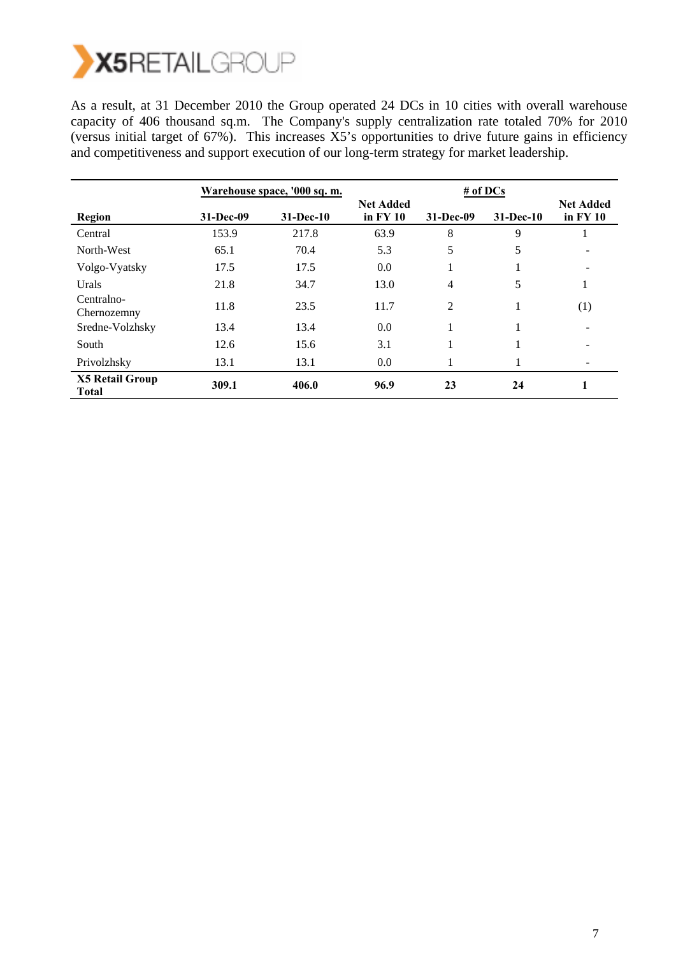

As a result, at 31 December 2010 the Group operated 24 DCs in 10 cities with overall warehouse capacity of 406 thousand sq.m. The Company's supply centralization rate totaled 70% for 2010 (versus initial target of 67%). This increases X5's opportunities to drive future gains in efficiency and competitiveness and support execution of our long-term strategy for market leadership.

|                                        |           | Warehouse space, '000 sq. m. |                                | $#$ of DCs |           |                                |  |
|----------------------------------------|-----------|------------------------------|--------------------------------|------------|-----------|--------------------------------|--|
| Region                                 | 31-Dec-09 | $31 - Dec-10$                | <b>Net Added</b><br>in $FY$ 10 | 31-Dec-09  | 31-Dec-10 | <b>Net Added</b><br>in $FY$ 10 |  |
| Central                                | 153.9     | 217.8                        | 63.9                           | 8          | 9         |                                |  |
| North-West                             | 65.1      | 70.4                         | 5.3                            | 5          | 5         |                                |  |
| Volgo-Vyatsky                          | 17.5      | 17.5                         | 0.0                            |            |           |                                |  |
| Urals                                  | 21.8      | 34.7                         | 13.0                           | 4          | 5         | 1                              |  |
| Centralno-<br>Chernozemny              | 11.8      | 23.5                         | 11.7                           | 2          |           | (1)                            |  |
| Sredne-Volzhsky                        | 13.4      | 13.4                         | 0.0                            |            |           | $\qquad \qquad \blacksquare$   |  |
| South                                  | 12.6      | 15.6                         | 3.1                            |            |           |                                |  |
| Privolzhsky                            | 13.1      | 13.1                         | 0.0                            |            |           |                                |  |
| <b>X5 Retail Group</b><br><b>Total</b> | 309.1     | 406.0                        | 96.9                           | 23         | 24        |                                |  |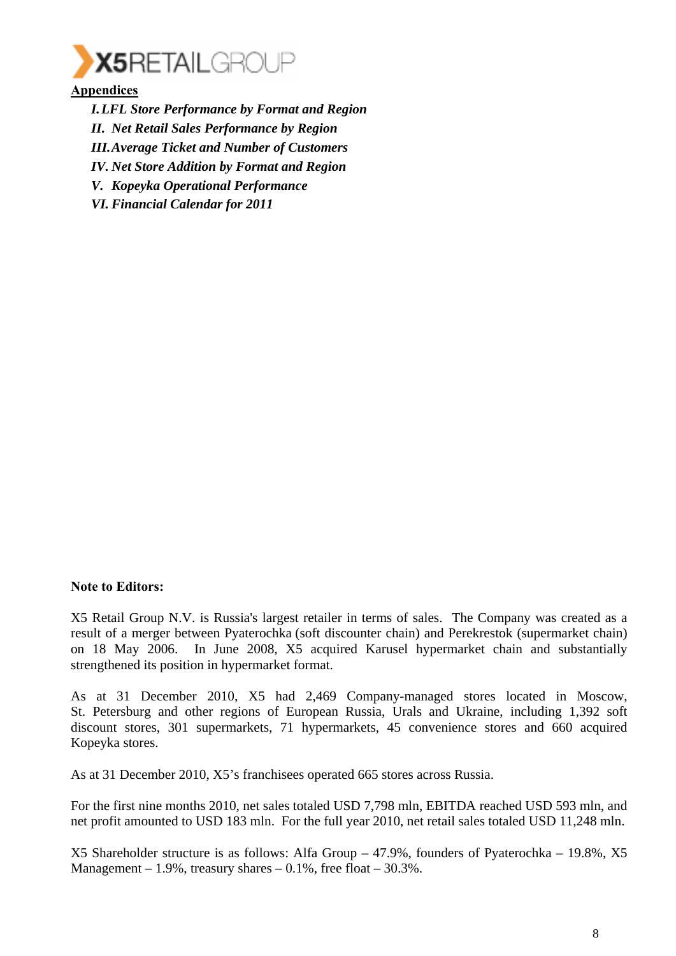

**Appendices**

*I.LFL Store Performance by Format and Region II. Net Retail Sales Performance by Region III.Average Ticket and Number of Customers IV. Net Store Addition by Format and Region V. Kopeyka Operational Performance VI. Financial Calendar for 2011* 

#### **Note to Editors:**

X5 Retail Group N.V. is Russia's largest retailer in terms of sales. The Company was created as a result of a merger between Pyaterochka (soft discounter chain) and Perekrestok (supermarket chain) on 18 May 2006. In June 2008, X5 acquired Karusel hypermarket chain and substantially strengthened its position in hypermarket format.

As at 31 December 2010, X5 had 2,469 Company-managed stores located in Moscow, St. Petersburg and other regions of European Russia, Urals and Ukraine, including 1,392 soft discount stores, 301 supermarkets, 71 hypermarkets, 45 convenience stores and 660 acquired Kopeyka stores.

As at 31 December 2010, X5's franchisees operated 665 stores across Russia.

For the first nine months 2010, net sales totaled USD 7,798 mln, EBITDA reached USD 593 mln, and net profit amounted to USD 183 mln. For the full year 2010, net retail sales totaled USD 11,248 mln.

X5 Shareholder structure is as follows: Alfa Group – 47.9%, founders of Pyaterochka – 19.8%, X5 Management – 1.9%, treasury shares –  $0.1\%$ , free float –  $30.3\%$ .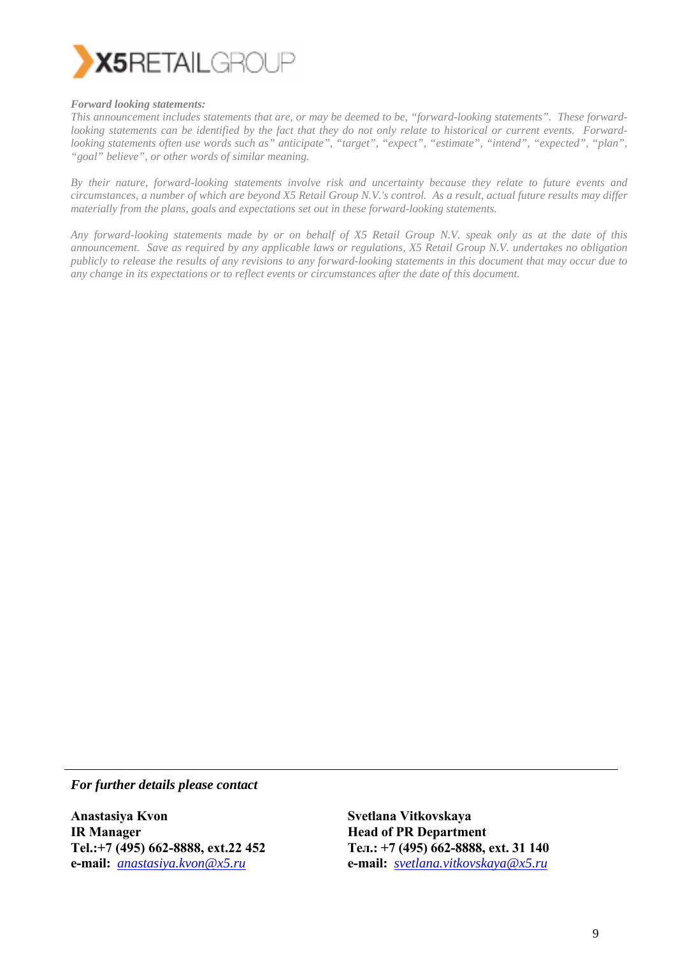

#### *Forward looking statements:*

*This announcement includes statements that are, or may be deemed to be, "forward-looking statements". These forwardlooking statements can be identified by the fact that they do not only relate to historical or current events. Forwardlooking statements often use words such as" anticipate", "target", "expect", "estimate", "intend", "expected", "plan", "goal" believe", or other words of similar meaning.* 

*By their nature, forward-looking statements involve risk and uncertainty because they relate to future events and circumstances, a number of which are beyond X5 Retail Group N.V.'s control. As a result, actual future results may differ materially from the plans, goals and expectations set out in these forward-looking statements.* 

*Any forward-looking statements made by or on behalf of X5 Retail Group N.V. speak only as at the date of this announcement. Save as required by any applicable laws or regulations, X5 Retail Group N.V. undertakes no obligation publicly to release the results of any revisions to any forward-looking statements in this document that may occur due to any change in its expectations or to reflect events or circumstances after the date of this document.* 

*For further details please contact* 

**Anastasiya Kvon IR Manager Tel.:+7 (495) 662-8888, ext.22 452 e-mail:** *anastasiya.kvon@x5.ru*

**Svetlana Vitkovskaya Head of PR Department Тел.: +7 (495) 662-8888, ext. 31 140 e-mail:** *svetlana.vitkovskaya@x5.ru*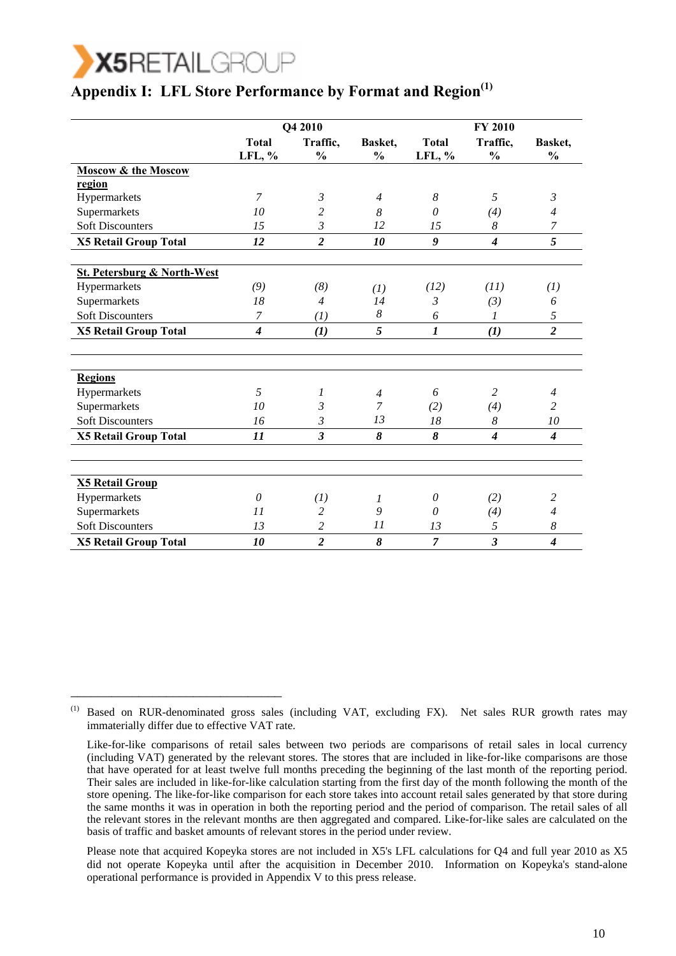

\_\_\_\_\_\_\_\_\_\_\_\_\_\_\_\_\_\_\_\_\_\_\_\_\_\_\_\_\_\_\_

# **Appendix I: LFL Store Performance by Format and Region**<sup>(1)</sup>

|                                        |                        | Q4 2010                   |                          |                        | <b>FY 2010</b>            |                          |
|----------------------------------------|------------------------|---------------------------|--------------------------|------------------------|---------------------------|--------------------------|
|                                        | <b>Total</b><br>LFL, % | Traffic,<br>$\frac{0}{0}$ | Basket,<br>$\frac{6}{9}$ | <b>Total</b><br>LFL, % | Traffic,<br>$\frac{0}{0}$ | Basket,<br>$\frac{0}{0}$ |
| <b>Moscow &amp; the Moscow</b>         |                        |                           |                          |                        |                           |                          |
| region                                 |                        |                           |                          |                        |                           |                          |
| Hypermarkets                           | $\overline{7}$         | $\mathfrak{Z}$            | $\overline{4}$           | 8                      | 5                         | $\mathfrak{Z}$           |
| Supermarkets                           | 10                     | 2                         | 8                        | $\theta$               | (4)                       | 4                        |
| <b>Soft Discounters</b>                | 15                     | 3                         | 12                       | 15                     | 8                         | 7                        |
| <b>X5 Retail Group Total</b>           | 12                     | $\boldsymbol{2}$          | 10                       | 9                      | $\overline{4}$            | 5                        |
|                                        |                        |                           |                          |                        |                           |                          |
| <b>St. Petersburg &amp; North-West</b> |                        |                           |                          |                        |                           |                          |
| Hypermarkets                           | (9)                    | (8)                       | (I)                      | (12)                   | (11)                      | (I)                      |
| Supermarkets                           | 18                     | $\overline{4}$            | 14                       | 3                      | (3)                       | 6                        |
| <b>Soft Discounters</b>                | $\overline{7}$         | (I)                       | 8                        | 6                      | $\mathcal{I}$             | 5                        |
| <b>X5 Retail Group Total</b>           | $\overline{4}$         | (1)                       | 5                        | $\boldsymbol{l}$       | (1)                       | $\overline{\mathbf{c}}$  |
|                                        |                        |                           |                          |                        |                           |                          |
|                                        |                        |                           |                          |                        |                           |                          |
| <b>Regions</b>                         |                        |                           |                          |                        |                           |                          |
| Hypermarkets                           | 5                      | 1                         | $\overline{4}$           | 6                      | $\overline{2}$            | $\overline{4}$           |
| Supermarkets                           | 10                     | 3                         | $\overline{7}$           | (2)                    | (4)                       | $\overline{c}$           |
| <b>Soft Discounters</b>                | 16                     | $\mathfrak{Z}$            | 13                       | 18                     | $\boldsymbol{8}$          | 10                       |
| <b>X5 Retail Group Total</b>           | 11                     | $\mathfrak{z}$            | 8                        | 8                      | $\boldsymbol{4}$          | $\boldsymbol{4}$         |
|                                        |                        |                           |                          |                        |                           |                          |
|                                        |                        |                           |                          |                        |                           |                          |
| <b>X5 Retail Group</b>                 |                        |                           |                          |                        |                           |                          |
| Hypermarkets                           | $\theta$               | (I)                       | 1                        | 0                      | (2)                       | $\overline{c}$           |
| Supermarkets                           | 11                     | 2                         | 9                        | 0                      | (4)                       | 4                        |
| <b>Soft Discounters</b>                | 13                     | $\overline{c}$            | 11                       | 13                     | 5                         | 8                        |
| <b>X5 Retail Group Total</b>           | 10                     | $\overline{c}$            | 8                        | $\overline{7}$         | $\mathfrak{z}$            | $\boldsymbol{4}$         |

(1) Based on RUR-denominated gross sales (including VAT, excluding FX). Net sales RUR growth rates may immaterially differ due to effective VAT rate.

 Please note that acquired Kopeyka stores are not included in X5's LFL calculations for Q4 and full year 2010 as X5 did not operate Kopeyka until after the acquisition in December 2010. Information on Kopeyka's stand-alone operational performance is provided in Appendix V to this press release.

Like-for-like comparisons of retail sales between two periods are comparisons of retail sales in local currency (including VAT) generated by the relevant stores. The stores that are included in like-for-like comparisons are those that have operated for at least twelve full months preceding the beginning of the last month of the reporting period. Their sales are included in like-for-like calculation starting from the first day of the month following the month of the store opening. The like-for-like comparison for each store takes into account retail sales generated by that store during the same months it was in operation in both the reporting period and the period of comparison. The retail sales of all the relevant stores in the relevant months are then aggregated and compared. Like-for-like sales are calculated on the basis of traffic and basket amounts of relevant stores in the period under review.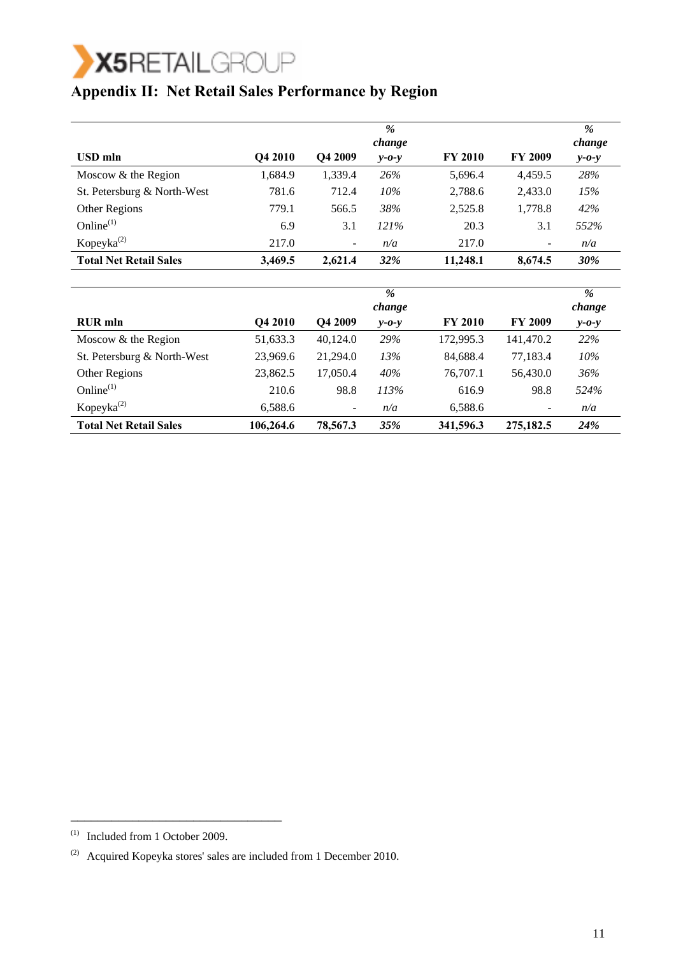

## **Appendix II: Net Retail Sales Performance by Region**

|                               |         |                          | %<br>change |                |                          | %<br>change |
|-------------------------------|---------|--------------------------|-------------|----------------|--------------------------|-------------|
| <b>USD</b> mln                | Q4 2010 | Q4 2009                  | $y - 0 - y$ | <b>FY 2010</b> | <b>FY 2009</b>           | $y - 0 - y$ |
| Moscow & the Region           | 1,684.9 | 1,339.4                  | 26%         | 5,696.4        | 4,459.5                  | 28%         |
| St. Petersburg & North-West   | 781.6   | 712.4                    | 10%         | 2,788.6        | 2,433.0                  | 15%         |
| Other Regions                 | 779.1   | 566.5                    | 38%         | 2,525.8        | 1,778.8                  | 42%         |
| Online $^{(1)}$               | 6.9     | 3.1                      | 121%        | 20.3           | 3.1                      | 552%        |
| $K$ opeyka $^{(2)}$           | 217.0   | $\overline{\phantom{a}}$ | n/a         | 217.0          | $\overline{\phantom{a}}$ | n/a         |
| <b>Total Net Retail Sales</b> | 3,469.5 | 2.621.4                  | <b>32%</b>  | 11,248.1       | 8,674.5                  | 30%         |

|                               |                |                | $\%$<br>change |                |                | $\%$<br>change |
|-------------------------------|----------------|----------------|----------------|----------------|----------------|----------------|
| <b>RUR</b> mln                | <b>O4 2010</b> | Q4 2009        | $y - 0 - y$    | <b>FY 2010</b> | <b>FY 2009</b> | $y - 0 - y$    |
| Moscow & the Region           | 51,633.3       | 40,124.0       | 29%            | 172,995.3      | 141,470.2      | 22%            |
| St. Petersburg & North-West   | 23,969.6       | 21,294.0       | 13%            | 84,688.4       | 77.183.4       | 10%            |
| Other Regions                 | 23,862.5       | 17,050.4       | 40%            | 76,707.1       | 56,430.0       | 36%            |
| Online $^{(1)}$               | 210.6          | 98.8           | 113%           | 616.9          | 98.8           | 524%           |
| Kopeyka $^{(2)}$              | 6,588.6        | $\blacksquare$ | n/a            | 6,588.6        | ۰              | n/a            |
| <b>Total Net Retail Sales</b> | 106,264.6      | 78,567.3       | 35%            | 341,596.3      | 275,182.5      | 24%            |

\_\_\_\_\_\_\_\_\_\_\_\_\_\_\_\_\_\_\_\_\_\_\_\_\_\_\_\_\_\_\_

<sup>(1)</sup> Included from 1 October 2009.

<sup>(2)</sup> Acquired Kopeyka stores' sales are included from 1 December 2010.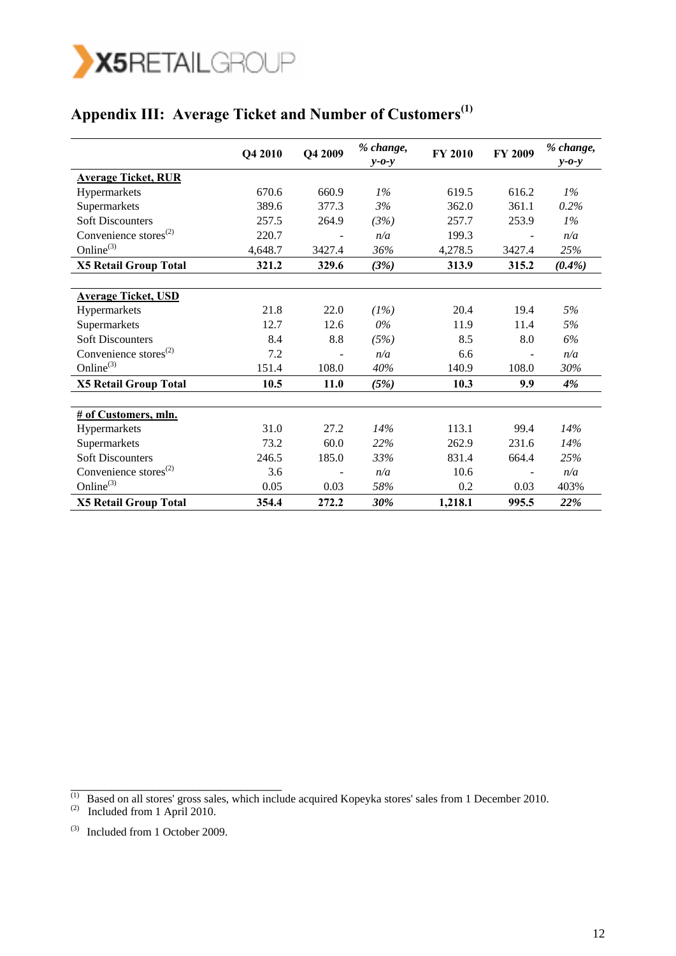

# **Appendix III: Average Ticket and Number of Customers(1)**

|                              | Q4 2010 | Q4 2009 | % change,<br>$y - 0 - y$ | <b>FY 2010</b> | FY 2009 | % change,<br>$y - 0 - y$ |
|------------------------------|---------|---------|--------------------------|----------------|---------|--------------------------|
| <b>Average Ticket, RUR</b>   |         |         |                          |                |         |                          |
| Hypermarkets                 | 670.6   | 660.9   | $1\%$                    | 619.5          | 616.2   | $1\%$                    |
| Supermarkets                 | 389.6   | 377.3   | 3%                       | 362.0          | 361.1   | 0.2%                     |
| <b>Soft Discounters</b>      | 257.5   | 264.9   | (3%)                     | 257.7          | 253.9   | $1\%$                    |
| Convenience stores $^{(2)}$  | 220.7   |         | n/a                      | 199.3          |         | n/a                      |
| Online $^{(3)}$              | 4,648.7 | 3427.4  | 36%                      | 4,278.5        | 3427.4  | 25%                      |
| <b>X5 Retail Group Total</b> | 321.2   | 329.6   | (3%)                     | 313.9          | 315.2   | $(0.4\%)$                |
|                              |         |         |                          |                |         |                          |
| <b>Average Ticket, USD</b>   |         |         |                          |                |         |                          |
| Hypermarkets                 | 21.8    | 22.0    | (1%)                     | 20.4           | 19.4    | 5%                       |
| Supermarkets                 | 12.7    | 12.6    | $0\%$                    | 11.9           | 11.4    | 5%                       |
| <b>Soft Discounters</b>      | 8.4     | 8.8     | (5%)                     | 8.5            | 8.0     | 6%                       |
| Convenience stores $^{(2)}$  | 7.2     |         | n/a                      | 6.6            |         | n/a                      |
| Online $^{(3)}$              | 151.4   | 108.0   | 40%                      | 140.9          | 108.0   | 30%                      |
| <b>X5 Retail Group Total</b> | 10.5    | 11.0    | (5%)                     | 10.3           | 9.9     | 4%                       |
|                              |         |         |                          |                |         |                          |
| # of Customers, mln.         |         |         |                          |                |         |                          |
| Hypermarkets                 | 31.0    | 27.2    | 14%                      | 113.1          | 99.4    | 14%                      |
| Supermarkets                 | 73.2    | 60.0    | 22%                      | 262.9          | 231.6   | 14%                      |
| <b>Soft Discounters</b>      | 246.5   | 185.0   | 33%                      | 831.4          | 664.4   | 25%                      |
| Convenience stores $^{(2)}$  | 3.6     |         | n/a                      | 10.6           |         | n/a                      |
| Online $^{(3)}$              | 0.05    | 0.03    | 58%                      | 0.2            | 0.03    | 403%                     |
| <b>X5 Retail Group Total</b> | 354.4   | 272.2   | 30%                      | 1,218.1        | 995.5   | 22%                      |

 $(1)$  Based on all stores' gross sales, which include acquired Kopeyka stores' sales from 1 December 2010.

\_\_\_\_\_\_\_\_\_\_\_\_\_\_\_\_\_\_\_\_\_\_\_\_\_\_\_\_\_\_\_

 $(2)$  Included from 1 April 2010.

<sup>(3)</sup> Included from 1 October 2009.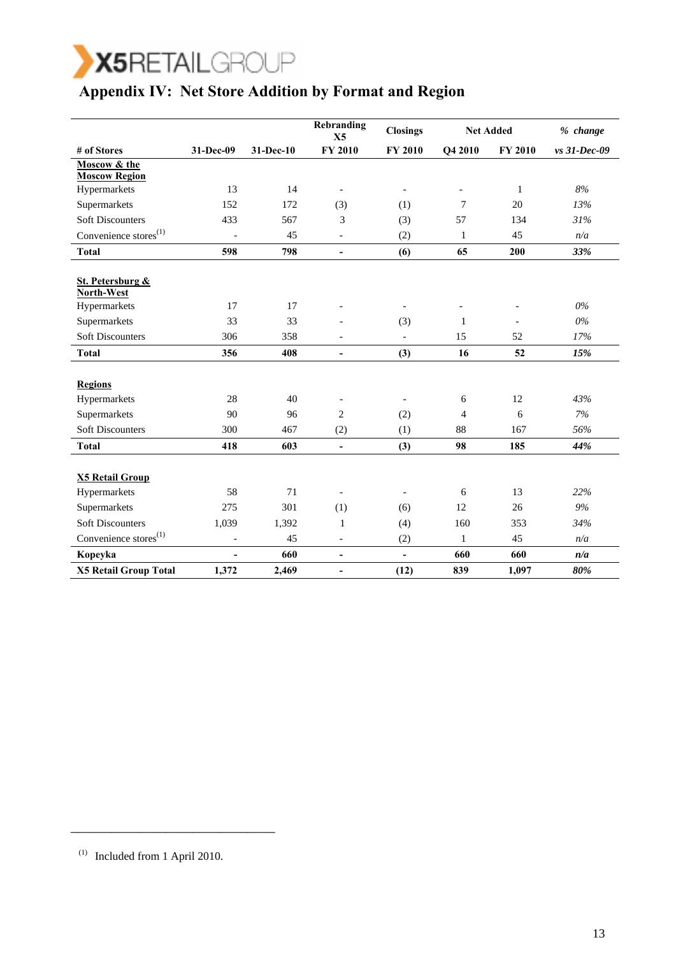

### **Appendix IV: Net Store Addition by Format and Region**

|                                   |                          |           | Rebranding<br>X <sub>5</sub> | <b>Closings</b>          | <b>Net Added</b> |                          | $%$ change   |
|-----------------------------------|--------------------------|-----------|------------------------------|--------------------------|------------------|--------------------------|--------------|
| # of Stores                       | 31-Dec-09                | 31-Dec-10 | <b>FY 2010</b>               | <b>FY 2010</b>           | Q4 2010          | <b>FY 2010</b>           | vs 31-Dec-09 |
| Moscow & the                      |                          |           |                              |                          |                  |                          |              |
| <b>Moscow Region</b>              |                          |           |                              |                          |                  |                          |              |
| Hypermarkets                      | 13                       | 14        | $\overline{\phantom{a}}$     | $\overline{\phantom{a}}$ | $\overline{a}$   | $\mathbf{1}$             | 8%           |
| Supermarkets                      | 152                      | 172       | (3)                          | (1)                      | 7                | 20                       | 13%          |
| <b>Soft Discounters</b>           | 433                      | 567       | 3                            | (3)                      | 57               | 134                      | 31%          |
| Convenience stores <sup>(1)</sup> | $\blacksquare$           | 45        | $\overline{\phantom{a}}$     | (2)                      | $\mathbf{1}$     | 45                       | n/a          |
| <b>Total</b>                      | 598                      | 798       | $\overline{\phantom{a}}$     | (6)                      | 65               | 200                      | 33%          |
|                                   |                          |           |                              |                          |                  |                          |              |
| St. Petersburg &                  |                          |           |                              |                          |                  |                          |              |
| North-West                        |                          |           |                              |                          |                  |                          | $0\%$        |
| Hypermarkets                      | 17                       | 17        | $\overline{a}$               | $\blacksquare$           |                  | $\overline{\phantom{a}}$ |              |
| Supermarkets                      | 33                       | 33        |                              | (3)                      | $\mathbf{1}$     | $\overline{\phantom{a}}$ | $0\%$        |
| <b>Soft Discounters</b>           | 306                      | 358       | $\overline{\phantom{a}}$     | $\overline{a}$           | 15               | 52                       | 17%          |
| <b>Total</b>                      | 356                      | 408       | $\overline{\phantom{a}}$     | (3)                      | 16               | 52                       | 15%          |
|                                   |                          |           |                              |                          |                  |                          |              |
| <b>Regions</b>                    |                          |           |                              |                          |                  |                          |              |
| Hypermarkets                      | 28                       | 40        | $\overline{\phantom{a}}$     |                          | 6                | 12                       | 43%          |
| Supermarkets                      | 90                       | 96        | $\overline{c}$               | (2)                      | $\overline{4}$   | 6                        | 7%           |
| <b>Soft Discounters</b>           | 300                      | 467       | (2)                          | (1)                      | 88               | 167                      | 56%          |
| <b>Total</b>                      | 418                      | 603       | $\blacksquare$               | (3)                      | 98               | 185                      | 44%          |
|                                   |                          |           |                              |                          |                  |                          |              |
| <b>X5 Retail Group</b>            |                          |           |                              |                          |                  |                          |              |
| Hypermarkets                      | 58                       | 71        | $\overline{\phantom{a}}$     | $\overline{\phantom{a}}$ | 6                | 13                       | 22%          |
| Supermarkets                      | 275                      | 301       | (1)                          | (6)                      | 12               | 26                       | 9%           |
| <b>Soft Discounters</b>           | 1,039                    | 1,392     | $\mathbf{1}$                 | (4)                      | 160              | 353                      | 34%          |
| Convenience stores <sup>(1)</sup> | $\overline{\phantom{a}}$ | 45        | $\blacksquare$               | (2)                      | $\mathbf{1}$     | 45                       | n/a          |
| Kopeyka                           | $\overline{\phantom{0}}$ | 660       | $\overline{\phantom{a}}$     | $\overline{\phantom{a}}$ | 660              | 660                      | n/a          |
| <b>X5 Retail Group Total</b>      | 1,372                    | 2,469     | $\blacksquare$               | (12)                     | 839              | 1,097                    | 80%          |

\_\_\_\_\_\_\_\_\_\_\_\_\_\_\_\_\_\_\_\_\_\_\_\_\_\_\_\_\_\_

 $(1)$  Included from 1 April 2010.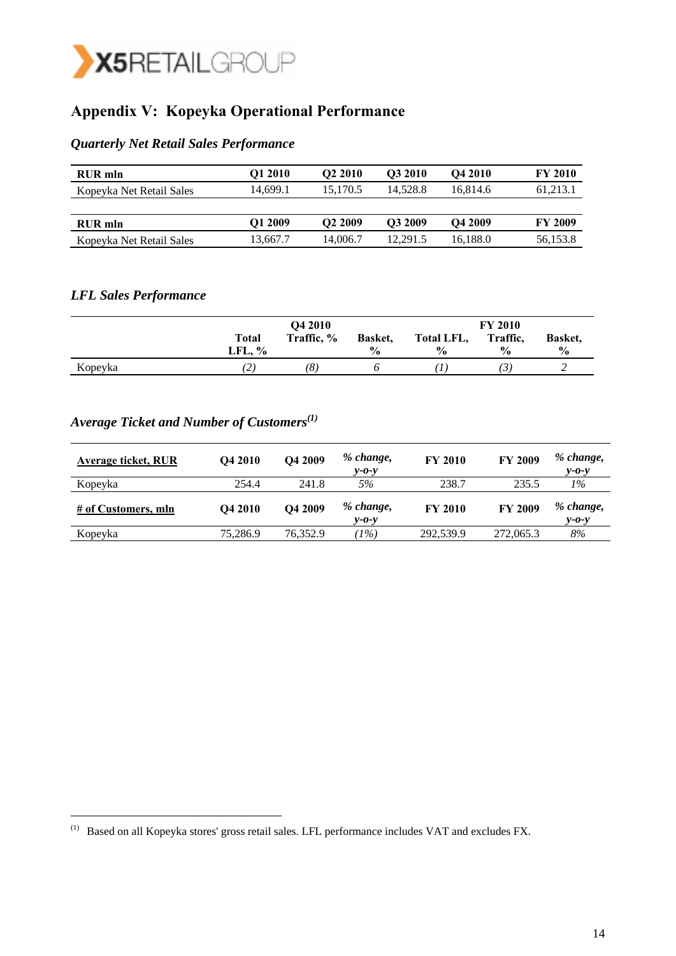

# **Appendix V: Kopeyka Operational Performance**

#### *Quarterly Net Retail Sales Performance*

| RUR mln                  | O1 2010  | O <sub>2</sub> 2010 | O3 2010  | <b>O4 2010</b>      | <b>FY 2010</b> |
|--------------------------|----------|---------------------|----------|---------------------|----------------|
| Kopeyka Net Retail Sales | 14.699.1 | 15.170.5            | 14.528.8 | 16.814.6            | 61,213.1       |
|                          |          |                     |          |                     |                |
| RUR mln                  | O1 2009  | O <sub>2</sub> 2009 | O3 2009  | O <sub>4</sub> 2009 | <b>FY 2009</b> |
| Kopeyka Net Retail Sales | 13,667.7 | 14.006.7            | 12.291.5 | 16.188.0            | 56,153.8       |

### *LFL Sales Performance*

|         |                | Q4 2010    |                 |                   | <b>FY 2010</b> |               |  |
|---------|----------------|------------|-----------------|-------------------|----------------|---------------|--|
|         | Total          | Traffic, % | <b>Basket</b> , | <b>Total LFL,</b> | Traffic,       | Basket.       |  |
|         | LFL, %         |            | $\frac{6}{9}$   | $\frac{0}{0}$     | $\frac{0}{0}$  | $\frac{6}{6}$ |  |
| Kopeyka | $\overline{2}$ | (8)        |                 |                   | ل ا            |               |  |

# *Average Ticket and Number of Customers(1)*

\_\_\_\_\_\_\_\_\_\_\_\_\_\_\_\_\_\_\_\_\_\_\_\_\_\_\_\_\_\_\_

| Average ticket, RUR | Q4 2010        | O4 2009             | % change,<br>$v$ -0- $v$ | <b>FY 2010</b> | <b>FY 2009</b> | % change,<br>$v$ -0- $v$ |
|---------------------|----------------|---------------------|--------------------------|----------------|----------------|--------------------------|
| Kopeyka             | 254.4          | 241.8               | 5%                       | 238.7          | 235.5          | 1%                       |
| # of Customers, mln | <b>O4 2010</b> | O <sub>4</sub> 2009 | % change,<br>$v$ -0- $v$ | <b>FY 2010</b> | <b>FY 2009</b> | % change,<br>$v$ -0- $v$ |
| Kopeyka             | 75,286.9       | 76,352.9            | $1\%)$                   | 292,539.9      | 272,065.3      | 8%                       |

<sup>(1)</sup> Based on all Kopeyka stores' gross retail sales. LFL performance includes VAT and excludes FX.